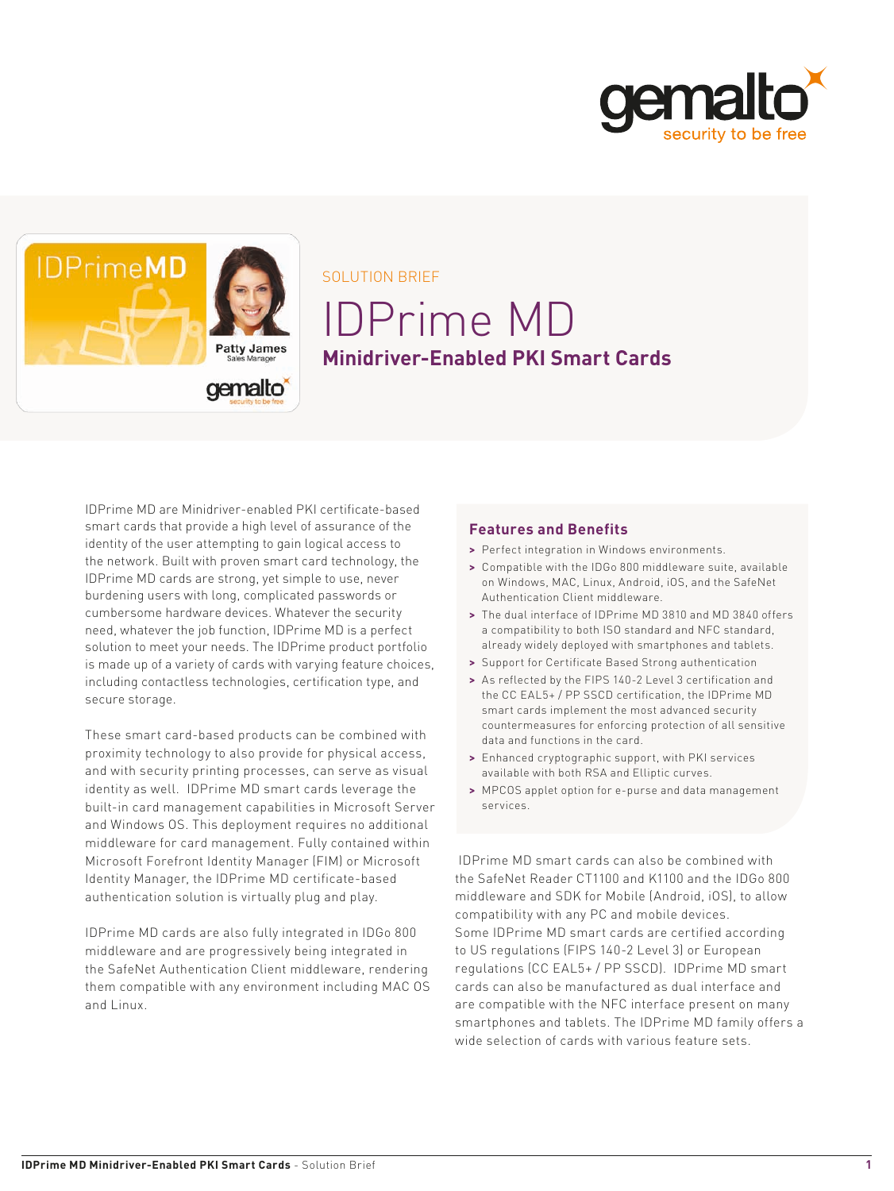



SOLUTION BRIEF

# IDPrime MD **Minidriver-Enabled PKI Smart Cards**

IDPrime MD are Minidriver-enabled PKI certificate-based smart cards that provide a high level of assurance of the identity of the user attempting to gain logical access to the network. Built with proven smart card technology, the IDPrime MD cards are strong, yet simple to use, never burdening users with long, complicated passwords or cumbersome hardware devices. Whatever the security need, whatever the job function, IDPrime MD is a perfect solution to meet your needs. The IDPrime product portfolio is made up of a variety of cards with varying feature choices, including contactless technologies, certification type, and secure storage.

These smart card-based products can be combined with proximity technology to also provide for physical access, and with security printing processes, can serve as visual identity as well. IDPrime MD smart cards leverage the built-in card management capabilities in Microsoft Server and Windows OS. This deployment requires no additional middleware for card management. Fully contained within Microsoft Forefront Identity Manager (FIM) or Microsoft Identity Manager, the IDPrime MD certificate-based authentication solution is virtually plug and play.

IDPrime MD cards are also fully integrated in IDGo 800 middleware and are progressively being integrated in the SafeNet Authentication Client middleware, rendering them compatible with any environment including MAC OS and Linux.

# **Features and Benefits**

- **>** Perfect integration in Windows environments.
- **>** Compatible with the IDGo 800 middleware suite, available on Windows, MAC, Linux, Android, iOS, and the SafeNet Authentication Client middleware.
- **>** The dual interface of IDPrime MD 3810 and MD 3840 offers a compatibility to both ISO standard and NFC standard, already widely deployed with smartphones and tablets.
- **>** Support for Certificate Based Strong authentication
- **>** As reflected by the FIPS 140-2 Level 3 certification and the CC EAL5+ / PP SSCD certification, the IDPrime MD smart cards implement the most advanced security countermeasures for enforcing protection of all sensitive data and functions in the card.
- **>** Enhanced cryptographic support, with PKI services available with both RSA and Elliptic curves.
- **>** MPCOS applet option for e-purse and data management services.

 IDPrime MD smart cards can also be combined with the SafeNet Reader CT1100 and K1100 and the IDGo 800 middleware and SDK for Mobile (Android, iOS), to allow compatibility with any PC and mobile devices. Some IDPrime MD smart cards are certified according to US regulations (FIPS 140-2 Level 3) or European regulations (CC EAL5+ / PP SSCD). IDPrime MD smart cards can also be manufactured as dual interface and are compatible with the NFC interface present on many smartphones and tablets. The IDPrime MD family offers a wide selection of cards with various feature sets.